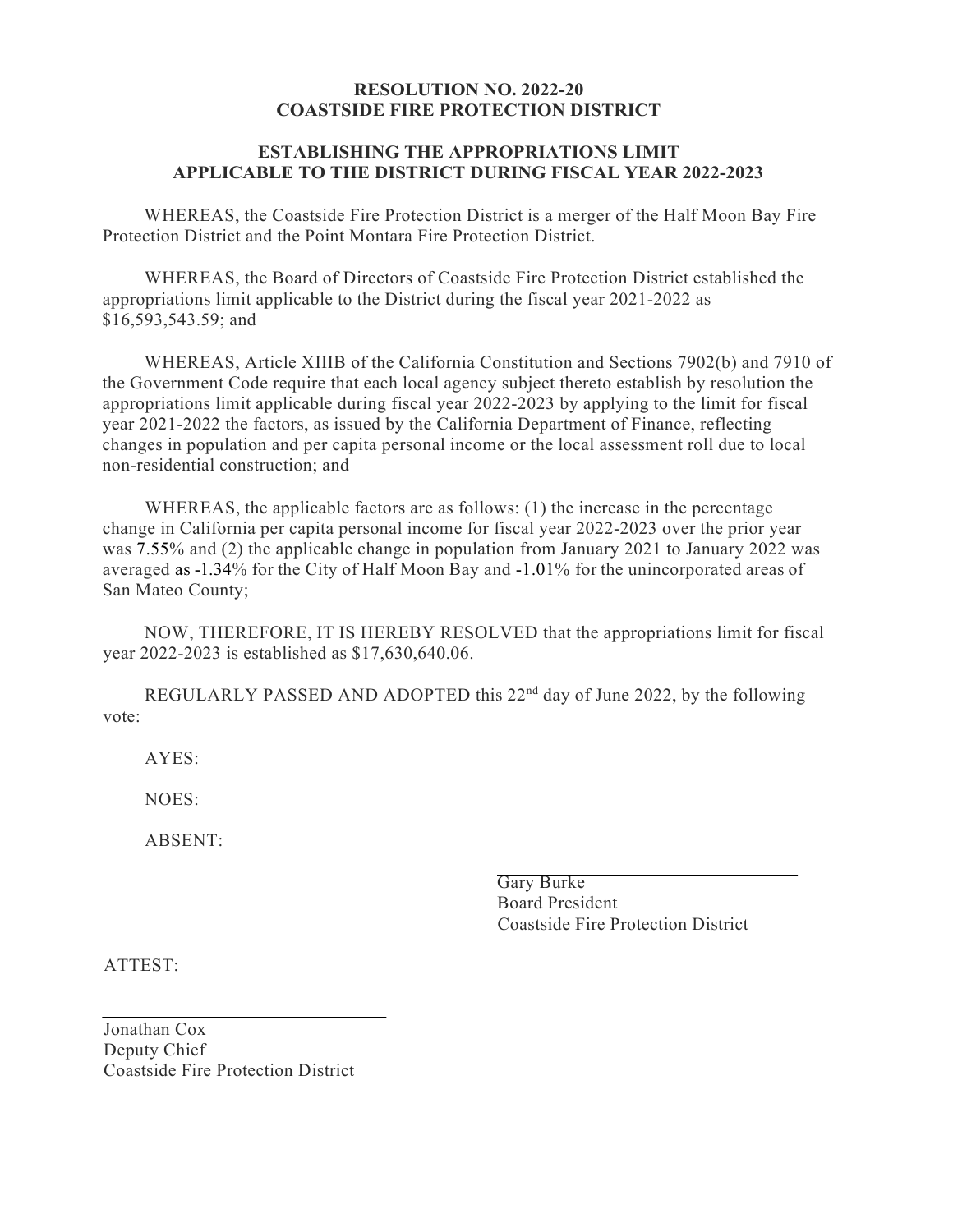## **RESOLUTION NO. 2022-20 COASTSIDE FIRE PROTECTION DISTRICT**

## **ESTABLISHING THE APPROPRIATIONS LIMIT APPLICABLE TO THE DISTRICT DURING FISCAL YEAR 2022-2023**

WHEREAS, the Coastside Fire Protection District is a merger of the Half Moon Bay Fire Protection District and the Point Montara Fire Protection District.

WHEREAS, the Board of Directors of Coastside Fire Protection District established the appropriations limit applicable to the District during the fiscal year 2021-2022 as \$16,593,543.59; and

WHEREAS, Article XIIIB of the California Constitution and Sections 7902(b) and 7910 of the Government Code require that each local agency subject thereto establish by resolution the appropriations limit applicable during fiscal year 2022-2023 by applying to the limit for fiscal year 2021-2022 the factors, as issued by the California Department of Finance, reflecting changes in population and per capita personal income or the local assessment roll due to local non-residential construction; and

WHEREAS, the applicable factors are as follows: (1) the increase in the percentage change in California per capita personal income for fiscal year 2022-2023 over the prior year was 7.55% and (2) the applicable change in population from January 2021 to January 2022 was averaged as -1.34% for the City of Half Moon Bay and -1.01% for the unincorporated areas of San Mateo County;

NOW, THEREFORE, IT IS HEREBY RESOLVED that the appropriations limit for fiscal year 2022-2023 is established as \$17,630,640.06.

REGULARLY PASSED AND ADOPTED this  $22<sup>nd</sup>$  day of June 2022, by the following vote:

AYES:

NOES:

ABSENT:

Gary Burke Board President Coastside Fire Protection District

ATTEST:

Jonathan Cox Deputy Chief Coastside Fire Protection District